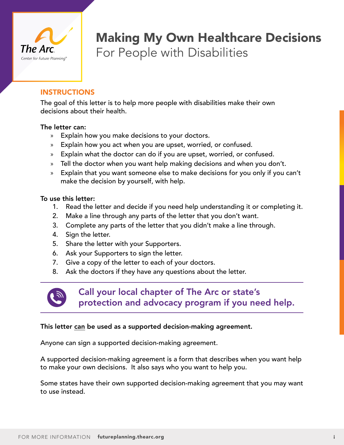

## Making My Own Healthcare Decisions For People with Disabilities

### INSTRUCTIONS

The goal of this letter is to help more people with disabilities make their own decisions about their health.

#### The letter can:

- » Explain how you make decisions to your doctors.
- » Explain how you act when you are upset, worried, or confused.
- » Explain what the doctor can do if you are upset, worried, or confused.
- » Tell the doctor when you want help making decisions and when you don't.
- » Explain that you want someone else to make decisions for you only if you can't make the decision by yourself, with help.

#### To use this letter:

- 1. Read the letter and decide if you need help understanding it or completing it.
- 2. Make a line through any parts of the letter that you don't want.
- 3. Complete any parts of the letter that you didn't make a line through.
- 4. Sign the letter.
- 5. Share the letter with your Supporters.
- 6. Ask your Supporters to sign the letter.
- 7. Give a copy of the letter to each of your doctors.
- 8. Ask the doctors if they have any questions about the letter.



Call your local chapter of The Arc or state's protection and advocacy program if you need help.

### This letter can be used as a supported decision-making agreement.

Anyone can sign a supported decision-making agreement.

A supported decision-making agreement is a form that describes when you want help to make your own decisions. It also says who you want to help you.

Some states have their own supported decision-making agreement that you may want to use instead.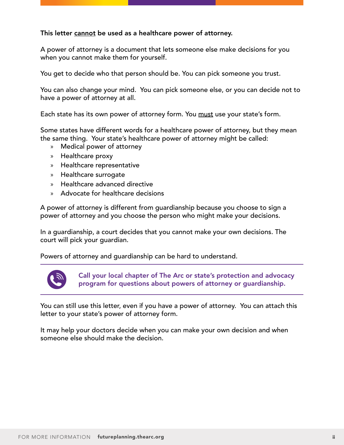#### This letter cannot be used as a healthcare power of attorney.

A power of attorney is a document that lets someone else make decisions for you when you cannot make them for yourself.

You get to decide who that person should be. You can pick someone you trust.

You can also change your mind. You can pick someone else, or you can decide not to have a power of attorney at all.

Each state has its own power of attorney form. You must use your state's form.

Some states have different words for a healthcare power of attorney, but they mean the same thing. Your state's healthcare power of attorney might be called:

- » Medical power of attorney
- » Healthcare proxy
- » Healthcare representative
- » Healthcare surrogate
- » Healthcare advanced directive
- » Advocate for healthcare decisions

A power of attorney is different from guardianship because you choose to sign a power of attorney and you choose the person who might make your decisions.

In a guardianship, a court decides that you cannot make your own decisions. The court will pick your guardian.

Powers of attorney and guardianship can be hard to understand.



Call your local chapter of The Arc or state's protection and advocacy program for questions about powers of attorney or guardianship.

You can still use this letter, even if you have a power of attorney. You can attach this letter to your state's power of attorney form.

It may help your doctors decide when you can make your own decision and when someone else should make the decision.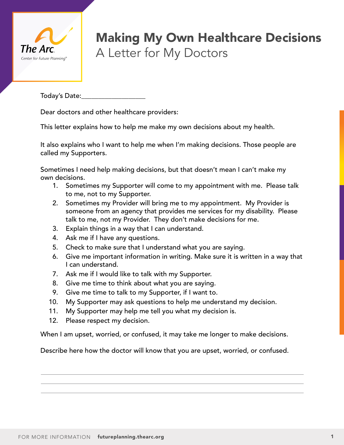

# Making My Own Healthcare Decisions A Letter for My Doctors

Today's Date:

Dear doctors and other healthcare providers:

This letter explains how to help me make my own decisions about my health.

It also explains who I want to help me when I'm making decisions. Those people are called my Supporters.

Sometimes I need help making decisions, but that doesn't mean I can't make my own decisions.

- 1. Sometimes my Supporter will come to my appointment with me. Please talk to me, not to my Supporter.
- 2. Sometimes my Provider will bring me to my appointment. My Provider is someone from an agency that provides me services for my disability. Please talk to me, not my Provider. They don't make decisions for me.
- 3. Explain things in a way that I can understand.
- 4. Ask me if I have any questions.
- 5. Check to make sure that I understand what you are saying.
- 6. Give me important information in writing. Make sure it is written in a way that I can understand.
- 7. Ask me if I would like to talk with my Supporter.
- 8. Give me time to think about what you are saying.
- 9. Give me time to talk to my Supporter, if I want to.
- 10. My Supporter may ask questions to help me understand my decision.
- 11. My Supporter may help me tell you what my decision is.
- 12. Please respect my decision.

When I am upset, worried, or confused, it may take me longer to make decisions.

Describe here how the doctor will know that you are upset, worried, or confused.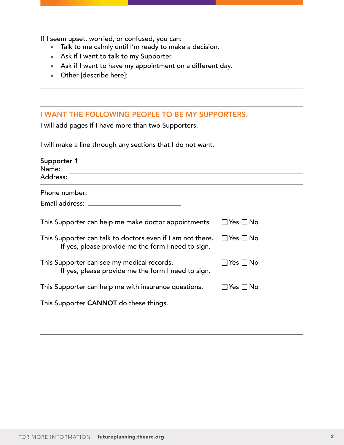If I seem upset, worried, or confused, you can:

- » Talk to me calmly until I'm ready to make a decision.
- » Ask if I want to talk to my Supporter.
- » Ask if I want to have my appointment on a different day.
- » Other [describe here]:

#### I WANT THE FOLLOWING PEOPLE TO BE MY SUPPORTERS.

I will add pages if I have more than two Supporters.

I will make a line through any sections that I do not want.

| Supporter 1<br>Name:<br>Address:                                                                                                      |                      |
|---------------------------------------------------------------------------------------------------------------------------------------|----------------------|
| Phone number:                                                                                                                         |                      |
| Email address:                                                                                                                        |                      |
| This Supporter can help me make doctor appointments.                                                                                  | $\Box$ Yes $\Box$ No |
| This Supporter can talk to doctors even if I am not there. $\Box$ Yes $\Box$ No<br>If yes, please provide me the form I need to sign. |                      |
| This Supporter can see my medical records.<br>If yes, please provide me the form I need to sign.                                      | ∃Yes □No             |
| This Supporter can help me with insurance questions.                                                                                  | l IYes I INo         |
| This Supporter CANNOT do these things.                                                                                                |                      |
|                                                                                                                                       |                      |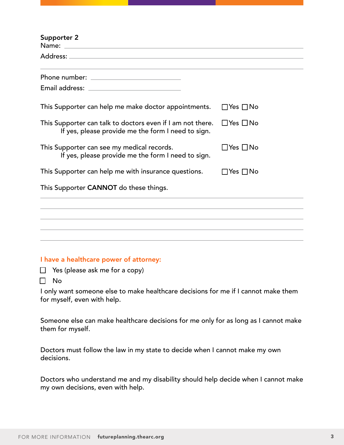| Supporter 2                                                                                                      |                      |
|------------------------------------------------------------------------------------------------------------------|----------------------|
|                                                                                                                  |                      |
|                                                                                                                  |                      |
|                                                                                                                  |                      |
| This Supporter can help me make doctor appointments.                                                             | $\Box$ Yes $\Box$ No |
| This Supporter can talk to doctors even if I am not there.<br>If yes, please provide me the form I need to sign. | $\Box$ Yes $\Box$ No |
| This Supporter can see my medical records.<br>If yes, please provide me the form I need to sign.                 | $\Box$ Yes $\Box$ No |
| This Supporter can help me with insurance questions.                                                             | $\Box$ Yes $\Box$ No |
| This Supporter CANNOT do these things.                                                                           |                      |
|                                                                                                                  |                      |
|                                                                                                                  |                      |
|                                                                                                                  |                      |

#### I have a healthcare power of attorney:

 $\Box$  Yes (please ask me for a copy)

 $\Box$  No

I only want someone else to make healthcare decisions for me if I cannot make them for myself, even with help.

Someone else can make healthcare decisions for me only for as long as I cannot make them for myself.

Doctors must follow the law in my state to decide when I cannot make my own decisions.

Doctors who understand me and my disability should help decide when I cannot make my own decisions, even with help.